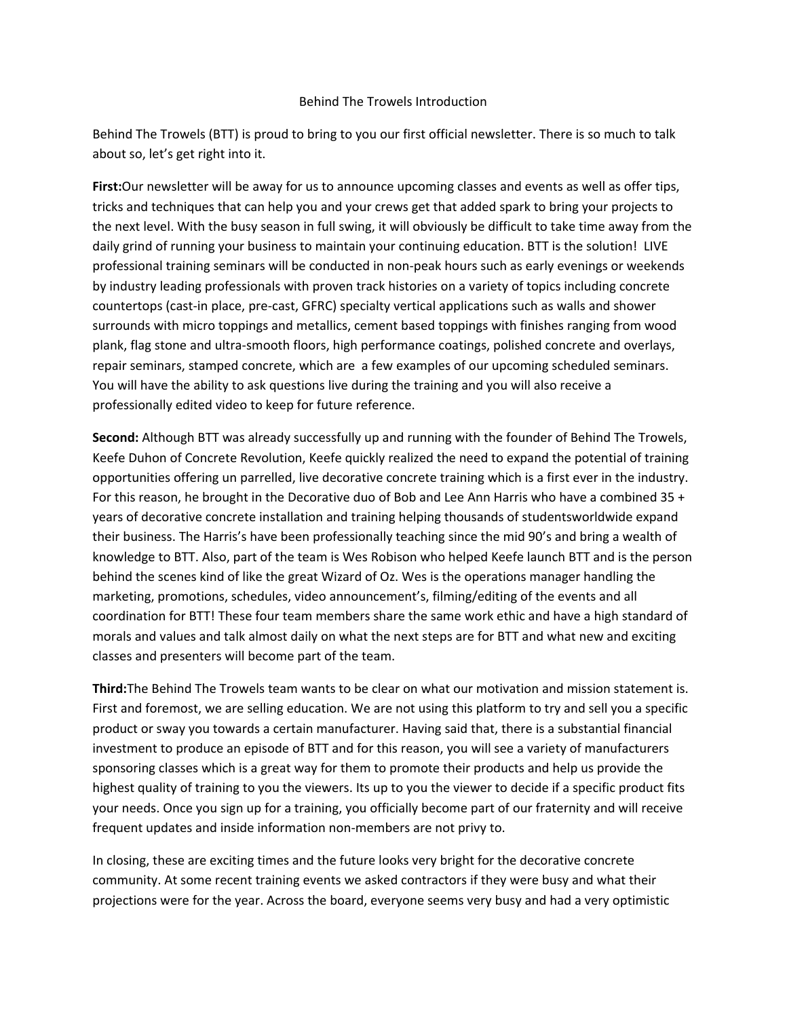## Behind The Trowels Introduction

Behind The Trowels (BTT) is proud to bring to you our first official newsletter. There is so much to talk about so, let's get right into it.

**First:**Our newsletter will be away for us to announce upcoming classes and events as well as offer tips, tricks and techniques that can help you and your crews get that added spark to bring your projects to the next level. With the busy season in full swing, it will obviously be difficult to take time away from the daily grind of running your business to maintain your continuing education. BTT is the solution! LIVE professional training seminars will be conducted in non‐peak hours such as early evenings or weekends by industry leading professionals with proven track histories on a variety of topics including concrete countertops (cast‐in place, pre‐cast, GFRC) specialty vertical applications such as walls and shower surrounds with micro toppings and metallics, cement based toppings with finishes ranging from wood plank, flag stone and ultra‐smooth floors, high performance coatings, polished concrete and overlays, repair seminars, stamped concrete, which are a few examples of our upcoming scheduled seminars. You will have the ability to ask questions live during the training and you will also receive a professionally edited video to keep for future reference.

**Second:** Although BTT was already successfully up and running with the founder of Behind The Trowels, Keefe Duhon of Concrete Revolution, Keefe quickly realized the need to expand the potential of training opportunities offering un parrelled, live decorative concrete training which is a first ever in the industry. For this reason, he brought in the Decorative duo of Bob and Lee Ann Harris who have a combined 35 + years of decorative concrete installation and training helping thousands of studentsworldwide expand their business. The Harris's have been professionally teaching since the mid 90's and bring a wealth of knowledge to BTT. Also, part of the team is Wes Robison who helped Keefe launch BTT and is the person behind the scenes kind of like the great Wizard of Oz. Wes is the operations manager handling the marketing, promotions, schedules, video announcement's, filming/editing of the events and all coordination for BTT! These four team members share the same work ethic and have a high standard of morals and values and talk almost daily on what the next steps are for BTT and what new and exciting classes and presenters will become part of the team.

**Third:**The Behind The Trowels team wants to be clear on what our motivation and mission statement is. First and foremost, we are selling education. We are not using this platform to try and sell you a specific product or sway you towards a certain manufacturer. Having said that, there is a substantial financial investment to produce an episode of BTT and for this reason, you will see a variety of manufacturers sponsoring classes which is a great way for them to promote their products and help us provide the highest quality of training to you the viewers. Its up to you the viewer to decide if a specific product fits your needs. Once you sign up for a training, you officially become part of our fraternity and will receive frequent updates and inside information non‐members are not privy to.

In closing, these are exciting times and the future looks very bright for the decorative concrete community. At some recent training events we asked contractors if they were busy and what their projections were for the year. Across the board, everyone seems very busy and had a very optimistic